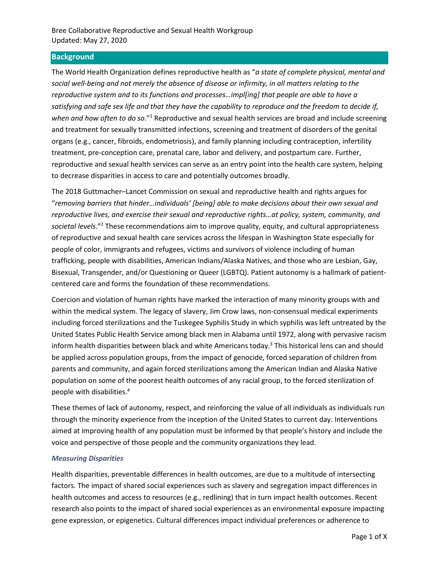# **Background**

The World Health Organization defines reproductive health as "*a state of complete physical, mental and social well-being and not merely the absence of disease or infirmity, in all matters relating to the reproductive system and to its functions and processes…impl[ing] that people are able to have a satisfying and safe sex life and that they have the capability to reproduce and the freedom to decide if, when and how often to do so*."<sup>1</sup> Reproductive and sexual health services are broad and include screening and treatment for sexually transmitted infections, screening and treatment of disorders of the genital organs (e.g., cancer, fibroids, endometriosis), and family planning including contraception, infertility treatment, pre-conception care, prenatal care, labor and delivery, and postpartum care. Further, reproductive and sexual health services can serve as an entry point into the health care system, helping to decrease disparities in access to care and potentially outcomes broadly.

The 2018 Guttmacher–Lancet Commission on sexual and reproductive health and rights argues for "*removing barriers that hinder…individuals' [being] able to make decisions about their own sexual and reproductive lives, and exercise their sexual and reproductive rights…at policy, system, community, and societal levels*."<sup>2</sup> These recommendations aim to improve quality, equity, and cultural appropriateness of reproductive and sexual health care services across the lifespan in Washington State especially for people of color, immigrants and refugees, victims and survivors of violence including of human trafficking, people with disabilities, American Indians/Alaska Natives, and those who are Lesbian, Gay, Bisexual, Transgender, and/or Questioning or Queer (LGBTQ). Patient autonomy is a hallmark of patientcentered care and forms the foundation of these recommendations.

Coercion and violation of human rights have marked the interaction of many minority groups with and within the medical system. The legacy of slavery, Jim Crow laws, non-consensual medical experiments including forced sterilizations and the Tuskegee Syphilis Study in which syphilis was left untreated by the United States Public Health Service among black men in Alabama until 1972, along with pervasive racism inform health disparities between black and white Americans today.<sup>3</sup> This historical lens can and should be applied across population groups, from the impact of genocide, forced separation of children from parents and community, and again forced sterilizations among the American Indian and Alaska Native population on some of the poorest health outcomes of any racial group, to the forced sterilization of people with disabilities. 4

These themes of lack of autonomy, respect, and reinforcing the value of all individuals as individuals run through the minority experience from the inception of the United States to current day. Interventions aimed at improving health of any population must be informed by that people's history and include the voice and perspective of those people and the community organizations they lead.

#### *Measuring Disparities*

Health disparities, preventable differences in health outcomes, are due to a multitude of intersecting factors. The impact of shared social experiences such as slavery and segregation impact differences in health outcomes and access to resources (e.g., redlining) that in turn impact health outcomes. Recent research also points to the impact of shared social experiences as an environmental exposure impacting gene expression, or epigenetics. Cultural differences impact individual preferences or adherence to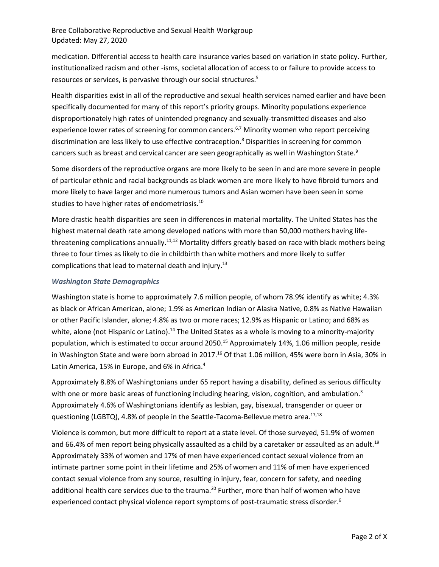medication. Differential access to health care insurance varies based on variation in state policy. Further, institutionalized racism and other -isms, societal allocation of access to or failure to provide access to resources or services, is pervasive through our social structures.<sup>5</sup>

Health disparities exist in all of the reproductive and sexual health services named earlier and have been specifically documented for many of this report's priority groups. Minority populations experience disproportionately high rates of unintended pregnancy and sexually-transmitted diseases and also experience lower rates of screening for common cancers.<sup>6,7</sup> Minority women who report perceiving discrimination are less likely to use effective contraception.<sup>8</sup> Disparities in screening for common cancers such as breast and cervical cancer are seen geographically as well in Washington State.<sup>9</sup>

Some disorders of the reproductive organs are more likely to be seen in and are more severe in people of particular ethnic and racial backgrounds as black women are more likely to have fibroid tumors and more likely to have larger and more numerous tumors and Asian women have been seen in some studies to have higher rates of endometriosis.<sup>10</sup>

More drastic health disparities are seen in differences in material mortality. The United States has the highest maternal death rate among developed nations with more than 50,000 mothers having lifethreatening complications annually.<sup>11,12</sup> Mortality differs greatly based on race with black mothers being three to four times as likely to die in childbirth than white mothers and more likely to suffer complications that lead to maternal death and injury.<sup>13</sup>

### *Washington State Demographics*

Washington state is home to approximately 7.6 million people, of whom 78.9% identify as white; 4.3% as black or African American, alone; 1.9% as American Indian or Alaska Native, 0.8% as Native Hawaiian or other Pacific Islander, alone; 4.8% as two or more races; 12.9% as Hispanic or Latino; and 68% as white, alone (not Hispanic or Latino).<sup>14</sup> The United States as a whole is moving to a minority-majority population, which is estimated to occur around 2050.<sup>15</sup> Approximately 14%, 1.06 million people, reside in Washington State and were born abroad in 2017.<sup>16</sup> Of that 1.06 million, 45% were born in Asia, 30% in Latin America, 15% in Europe, and 6% in Africa.<sup>4</sup>

Approximately 8.8% of Washingtonians under 65 report having a disability, defined as serious difficulty with one or more basic areas of functioning including hearing, vision, cognition, and ambulation.<sup>3</sup> Approximately 4.6% of Washingtonians identify as lesbian, gay, bisexual, transgender or queer or questioning (LGBTQ), 4.8% of people in the Seattle-Tacoma-Bellevue metro area.<sup>17,18</sup>

Violence is common, but more difficult to report at a state level. Of those surveyed, 51.9% of women and 66.4% of men report being physically assaulted as a child by a caretaker or assaulted as an adult.<sup>19</sup> Approximately 33% of women and 17% of men have experienced contact sexual violence from an intimate partner some point in their lifetime and 25% of women and 11% of men have experienced contact sexual violence from any source, resulting in injury, fear, concern for safety, and needing additional health care services due to the trauma.<sup>20</sup> Further, more than half of women who have experienced contact physical violence report symptoms of post-traumatic stress disorder.<sup>6</sup>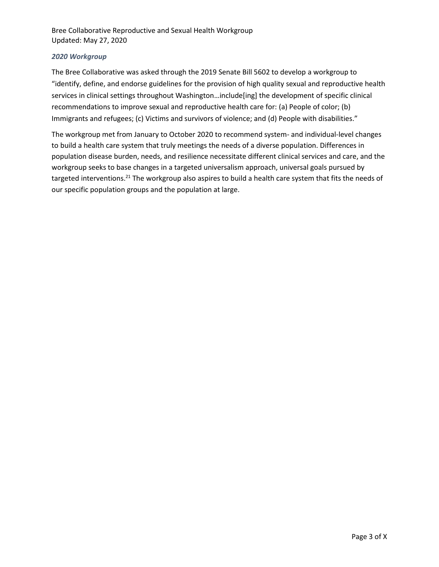# *2020 Workgroup*

The Bree Collaborative was asked through the 2019 Senate Bill 5602 to develop a workgroup to "identify, define, and endorse guidelines for the provision of high quality sexual and reproductive health services in clinical settings throughout Washington…include[ing] the development of specific clinical recommendations to improve sexual and reproductive health care for: (a) People of color; (b) Immigrants and refugees; (c) Victims and survivors of violence; and (d) People with disabilities."

The workgroup met from January to October 2020 to recommend system- and individual-level changes to build a health care system that truly meetings the needs of a diverse population. Differences in population disease burden, needs, and resilience necessitate different clinical services and care, and the workgroup seeks to base changes in a targeted universalism approach, universal goals pursued by targeted interventions.<sup>21</sup> The workgroup also aspires to build a health care system that fits the needs of our specific population groups and the population at large.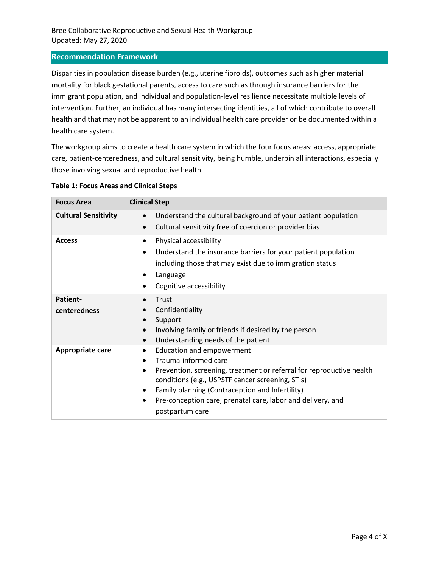### **Recommendation Framework**

Disparities in population disease burden (e.g., uterine fibroids), outcomes such as higher material mortality for black gestational parents, access to care such as through insurance barriers for the immigrant population, and individual and population-level resilience necessitate multiple levels of intervention. Further, an individual has many intersecting identities, all of which contribute to overall health and that may not be apparent to an individual health care provider or be documented within a health care system.

The workgroup aims to create a health care system in which the four focus areas: access, appropriate care, patient-centeredness, and cultural sensitivity, being humble, underpin all interactions, especially those involving sexual and reproductive health.

| <b>Focus Area</b>           | <b>Clinical Step</b>                                                                                                                                                                                                                                                                                                                                          |  |
|-----------------------------|---------------------------------------------------------------------------------------------------------------------------------------------------------------------------------------------------------------------------------------------------------------------------------------------------------------------------------------------------------------|--|
| <b>Cultural Sensitivity</b> | Understand the cultural background of your patient population<br>$\bullet$<br>Cultural sensitivity free of coercion or provider bias<br>$\bullet$                                                                                                                                                                                                             |  |
| <b>Access</b>               | Physical accessibility<br>$\bullet$<br>Understand the insurance barriers for your patient population<br>$\bullet$<br>including those that may exist due to immigration status<br>Language<br>$\bullet$<br>Cognitive accessibility                                                                                                                             |  |
| Patient-<br>centeredness    | Trust<br>$\bullet$<br>Confidentiality<br>Support<br>Involving family or friends if desired by the person<br>Understanding needs of the patient<br>$\bullet$                                                                                                                                                                                                   |  |
| <b>Appropriate care</b>     | <b>Education and empowerment</b><br>٠<br>Trauma-informed care<br>$\bullet$<br>Prevention, screening, treatment or referral for reproductive health<br>٠<br>conditions (e.g., USPSTF cancer screening, STIs)<br>Family planning (Contraception and Infertility)<br>$\bullet$<br>Pre-conception care, prenatal care, labor and delivery, and<br>postpartum care |  |

#### **Table 1: Focus Areas and Clinical Steps**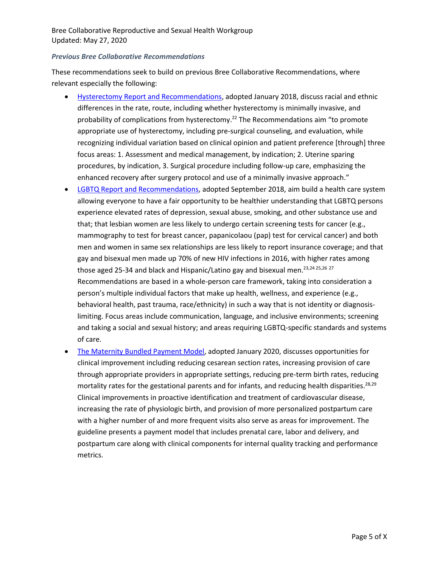#### *Previous Bree Collaborative Recommendations*

These recommendations seek to build on previous Bree Collaborative Recommendations, where relevant especially the following:

- Hysterectomy [Report and Recommendations,](http://www.breecollaborative.org/wp-content/uploads/Hysterectomy-Final-Report-2018.pdf) adopted January 2018, discuss racial and ethnic differences in the rate, route, including whether hysterectomy is minimally invasive, and probability of complications from hysterectomy.<sup>22</sup> The Recommendations aim "to promote appropriate use of hysterectomy, including pre-surgical counseling, and evaluation, while recognizing individual variation based on clinical opinion and patient preference [through] three focus areas: 1. Assessment and medical management, by indication; 2. Uterine sparing procedures, by indication, 3. Surgical procedure including follow-up care, emphasizing the enhanced recovery after surgery protocol and use of a minimally invasive approach."
- [LGBTQ Report and Recommendations,](http://www.breecollaborative.org/wp-content/uploads/LGBTQ-health-care-recommendations-Final-20-02.pdf) adopted September 2018, aim build a health care system allowing everyone to have a fair opportunity to be healthier understanding that LGBTQ persons experience elevated rates of depression, sexual abuse, smoking, and other substance use and that; that lesbian women are less likely to undergo certain screening tests for cancer (e.g., mammography to test for breast cancer, papanicolaou (pap) test for cervical cancer) and both men and women in same sex relationships are less likely to report insurance coverage; and that gay and bisexual men made up 70% of new HIV infections in 2016, with higher rates among those aged 25-34 and black and Hispanic/Latino gay and bisexual men.<sup>23,24 25,26</sup><sup>27</sup> Recommendations are based in a whole-person care framework, taking into consideration a person's multiple individual factors that make up health, wellness, and experience (e.g., behavioral health, past trauma, race/ethnicity) in such a way that is not identity or diagnosislimiting. Focus areas include communication, language, and inclusive environments; screening and taking a social and sexual history; and areas requiring LGBTQ-specific standards and systems of care.
- [The Maternity Bundled Payment Model,](http://www.breecollaborative.org/wp-content/uploads/Maternity-Bundle-FINAL-2020.pdf) adopted January 2020, discusses opportunities for clinical improvement including reducing cesarean section rates, increasing provision of care through appropriate providers in appropriate settings, reducing pre-term birth rates, reducing mortality rates for the gestational parents and for infants, and reducing health disparities.<sup>28,29</sup> Clinical improvements in proactive identification and treatment of cardiovascular disease, increasing the rate of physiologic birth, and provision of more personalized postpartum care with a higher number of and more frequent visits also serve as areas for improvement. The guideline presents a payment model that includes prenatal care, labor and delivery, and postpartum care along with clinical components for internal quality tracking and performance metrics.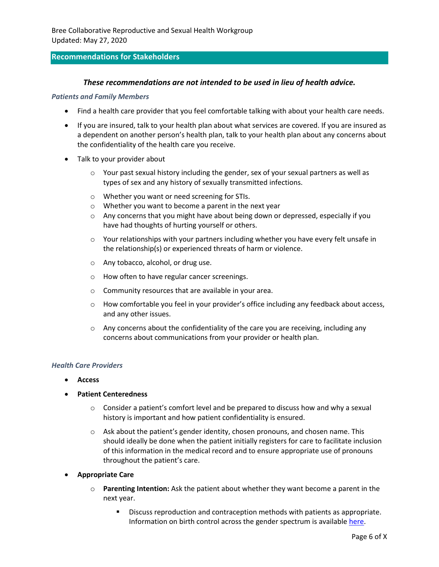### **Recommendations for Stakeholders**

#### *These recommendations are not intended to be used in lieu of health advice.*

#### *Patients and Family Members*

- Find a health care provider that you feel comfortable talking with about your health care needs.
- If you are insured, talk to your health plan about what services are covered. If you are insured as a dependent on another person's health plan, talk to your health plan about any concerns about the confidentiality of the health care you receive.
- Talk to your provider about
	- $\circ$  Your past sexual history including the gender, sex of your sexual partners as well as types of sex and any history of sexually transmitted infections.
	- o Whether you want or need screening for STIs.
	- o Whether you want to become a parent in the next year
	- $\circ$  Any concerns that you might have about being down or depressed, especially if you have had thoughts of hurting yourself or others.
	- $\circ$  Your relationships with your partners including whether you have every felt unsafe in the relationship(s) or experienced threats of harm or violence.
	- o Any tobacco, alcohol, or drug use.
	- o How often to have regular cancer screenings.
	- o Community resources that are available in your area.
	- $\circ$  How comfortable you feel in your provider's office including any feedback about access, and any other issues.
	- $\circ$  Any concerns about the confidentiality of the care you are receiving, including any concerns about communications from your provider or health plan.

#### *Health Care Providers*

- **Access**
- **Patient Centeredness** 
	- $\circ$  Consider a patient's comfort level and be prepared to discuss how and why a sexual history is important and how patient confidentiality is ensured.
	- $\circ$  Ask about the patient's gender identity, chosen pronouns, and chosen name. This should ideally be done when the patient initially registers for care to facilitate inclusion of this information in the medical record and to ensure appropriate use of pronouns throughout the patient's care.
- **Appropriate Care**
	- o **Parenting Intention:** Ask the patient about whether they want become a parent in the next year.
		- Discuss reproduction and contraception methods with patients as appropriate. Information on birth control across the gender spectrum is available [here.](https://www.reproductiveaccess.org/resource/birth-control-across-the-gender-spectrum/)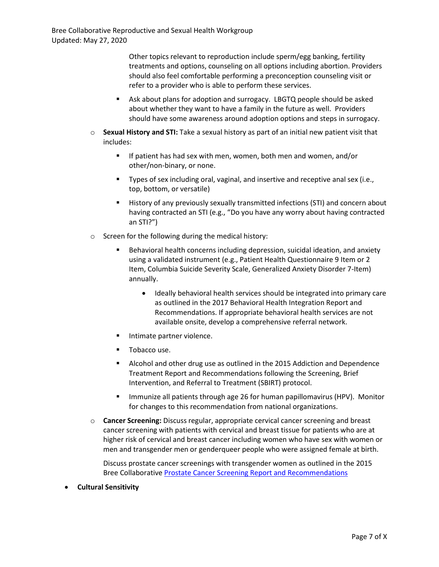Other topics relevant to reproduction include sperm/egg banking, fertility treatments and options, counseling on all options including abortion. Providers should also feel comfortable performing a preconception counseling visit or refer to a provider who is able to perform these services.

- Ask about plans for adoption and surrogacy. LBGTQ people should be asked about whether they want to have a family in the future as well. Providers should have some awareness around adoption options and steps in surrogacy.
- o **Sexual History and STI:** Take a sexual history as part of an initial new patient visit that includes:
	- If patient has had sex with men, women, both men and women, and/or other/non-binary, or none.
	- Types of sex including oral, vaginal, and insertive and receptive anal sex (i.e., top, bottom, or versatile)
	- History of any previously sexually transmitted infections (STI) and concern about having contracted an STI (e.g., "Do you have any worry about having contracted an STI?")
- o Screen for the following during the medical history:
	- Behavioral health concerns including depression, suicidal ideation, and anxiety using a validated instrument (e.g., Patient Health Questionnaire 9 Item or 2 Item, Columbia Suicide Severity Scale, Generalized Anxiety Disorder 7-Item) annually.
		- Ideally behavioral health services should be integrated into primary care as outlined in the 2017 Behavioral Health Integration Report and Recommendations. If appropriate behavioral health services are not available onsite, develop a comprehensive referral network.
	- Intimate partner violence.
	- Tobacco use.
	- Alcohol and other drug use as outlined in the 2015 Addiction and Dependence Treatment Report and Recommendations following the Screening, Brief Intervention, and Referral to Treatment (SBIRT) protocol.
	- **■** Immunize all patients through age 26 for human papillomavirus (HPV). Monitor for changes to this recommendation from national organizations.
- o **Cancer Screening:** Discuss regular, appropriate cervical cancer screening and breast cancer screening with patients with cervical and breast tissue for patients who are at higher risk of cervical and breast cancer including women who have sex with women or men and transgender men or genderqueer people who were assigned female at birth.

Discuss prostate cancer screenings with transgender women as outlined in the 2015 Bree Collaborative [Prostate Cancer Screening Report and Recommendations](http://www.breecollaborative.org/wp-content/uploads/Prostate-Cancer-Recommendations-Final-15-11.pdf)

• **Cultural Sensitivity**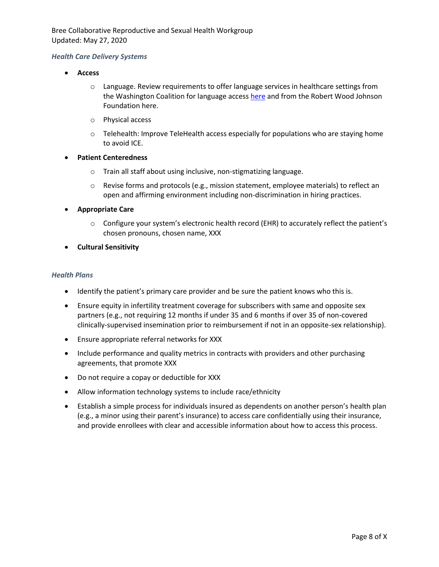#### *Health Care Delivery Systems*

- **Access**
	- o Language. Review requirements to offer language services in healthcare settings from the Washington Coalition for language acces[s here](https://www.wascla.org/library/attachment.351986) and from the Robert Wood Johnson Foundation here.
	- o Physical access
	- $\circ$  Telehealth: Improve TeleHealth access especially for populations who are staying home to avoid ICE.
- **Patient Centeredness**
	- o Train all staff about using inclusive, non-stigmatizing language.
	- $\circ$  Revise forms and protocols (e.g., mission statement, employee materials) to reflect an open and affirming environment including non-discrimination in hiring practices.
- **Appropriate Care**
	- o Configure your system's electronic health record (EHR) to accurately reflect the patient's chosen pronouns, chosen name, XXX
- **Cultural Sensitivity**

#### *Health Plans*

- Identify the patient's primary care provider and be sure the patient knows who this is.
- Ensure equity in infertility treatment coverage for subscribers with same and opposite sex partners (e.g., not requiring 12 months if under 35 and 6 months if over 35 of non-covered clinically-supervised insemination prior to reimbursement if not in an opposite-sex relationship).
- Ensure appropriate referral networks for XXX
- Include performance and quality metrics in contracts with providers and other purchasing agreements, that promote XXX
- Do not require a copay or deductible for XXX
- Allow information technology systems to include race/ethnicity
- Establish a simple process for individuals insured as dependents on another person's health plan (e.g., a minor using their parent's insurance) to access care confidentially using their insurance, and provide enrollees with clear and accessible information about how to access this process.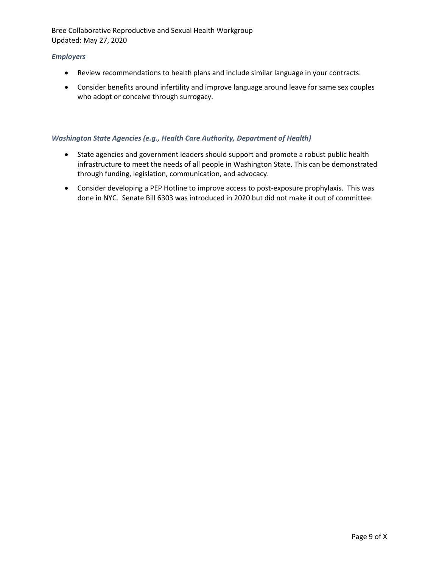### *Employers*

- Review recommendations to health plans and include similar language in your contracts.
- Consider benefits around infertility and improve language around leave for same sex couples who adopt or conceive through surrogacy.

#### *Washington State Agencies (e.g., Health Care Authority, Department of Health)*

- State agencies and government leaders should support and promote a robust public health infrastructure to meet the needs of all people in Washington State. This can be demonstrated through funding, legislation, communication, and advocacy.
- Consider developing a PEP Hotline to improve access to post-exposure prophylaxis. This was done in NYC. Senate Bill 6303 was introduced in 2020 but did not make it out of committee.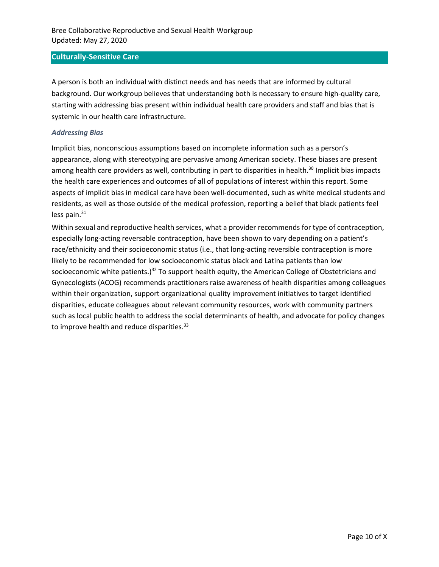### **Culturally-Sensitive Care**

A person is both an individual with distinct needs and has needs that are informed by cultural background. Our workgroup believes that understanding both is necessary to ensure high-quality care, starting with addressing bias present within individual health care providers and staff and bias that is systemic in our health care infrastructure.

#### *Addressing Bias*

Implicit bias, nonconscious assumptions based on incomplete information such as a person's appearance, along with stereotyping are pervasive among American society. These biases are present among health care providers as well, contributing in part to disparities in health.<sup>30</sup> Implicit bias impacts the health care experiences and outcomes of all of populations of interest within this report. Some aspects of implicit bias in medical care have been well-documented, such as white medical students and residents, as well as those outside of the medical profession, reporting a belief that black patients feel less pain. $31$ 

Within sexual and reproductive health services, what a provider recommends for type of contraception, especially long-acting reversable contraception, have been shown to vary depending on a patient's race/ethnicity and their socioeconomic status (i.e., that long-acting reversible contraception is more likely to be recommended for low socioeconomic status black and Latina patients than low socioeconomic white patients.)<sup>32</sup> To support health equity, the American College of Obstetricians and Gynecologists (ACOG) recommends practitioners raise awareness of health disparities among colleagues within their organization, support organizational quality improvement initiatives to target identified disparities, educate colleagues about relevant community resources, work with community partners such as local public health to address the social determinants of health, and advocate for policy changes to improve health and reduce disparities.<sup>33</sup>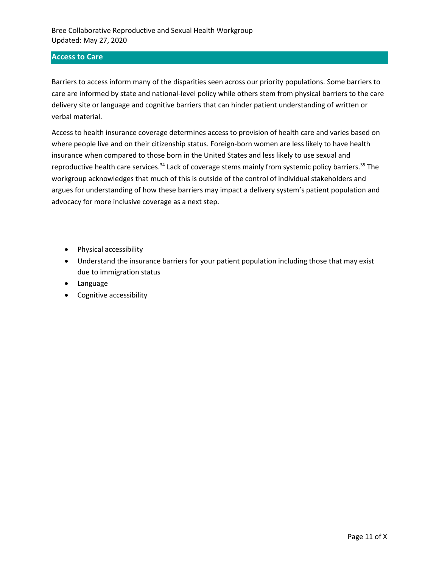# **Access to Care**

Barriers to access inform many of the disparities seen across our priority populations. Some barriers to care are informed by state and national-level policy while others stem from physical barriers to the care delivery site or language and cognitive barriers that can hinder patient understanding of written or verbal material.

Access to health insurance coverage determines access to provision of health care and varies based on where people live and on their citizenship status. Foreign-born women are less likely to have health insurance when compared to those born in the United States and less likely to use sexual and reproductive health care services.<sup>34</sup> Lack of coverage stems mainly from systemic policy barriers.<sup>35</sup> The workgroup acknowledges that much of this is outside of the control of individual stakeholders and argues for understanding of how these barriers may impact a delivery system's patient population and advocacy for more inclusive coverage as a next step.

- Physical accessibility
- Understand the insurance barriers for your patient population including those that may exist due to immigration status
- Language
- Cognitive accessibility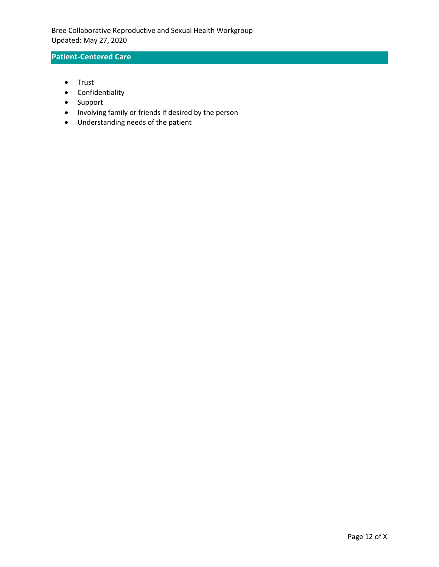# **Patient-Centered Care**

- Trust
- Confidentiality
- Support
- Involving family or friends if desired by the person
- Understanding needs of the patient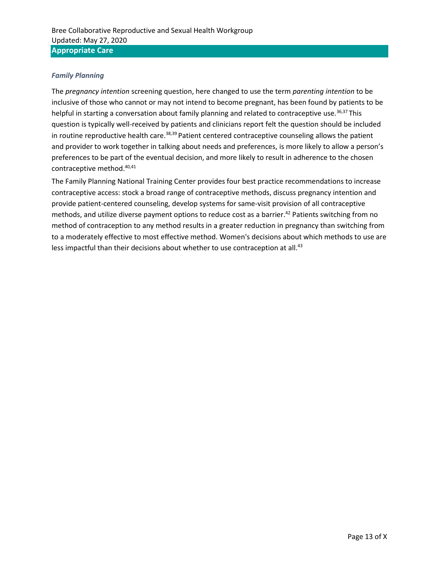### *Family Planning*

The *pregnancy intention* screening question, here changed to use the term *parenting intention* to be inclusive of those who cannot or may not intend to become pregnant, has been found by patients to be helpful in starting a conversation about family planning and related to contraceptive use.<sup>36,37</sup> This question is typically well-received by patients and clinicians report felt the question should be included in routine reproductive health care.<sup>38,39</sup> Patient centered contraceptive counseling allows the patient and provider to work together in talking about needs and preferences, is more likely to allow a person's preferences to be part of the eventual decision, and more likely to result in adherence to the chosen contraceptive method. 40,41

The Family Planning National Training Center provides four best practice recommendations to increase contraceptive access: stock a broad range of contraceptive methods, discuss pregnancy intention and provide patient-centered counseling, develop systems for same-visit provision of all contraceptive methods, and utilize diverse payment options to reduce cost as a barrier. <sup>42</sup> Patients switching from no method of contraception to any method results in a greater reduction in pregnancy than switching from to a moderately effective to most effective method. Women's decisions about which methods to use are less impactful than their decisions about whether to use contraception at all.<sup>43</sup>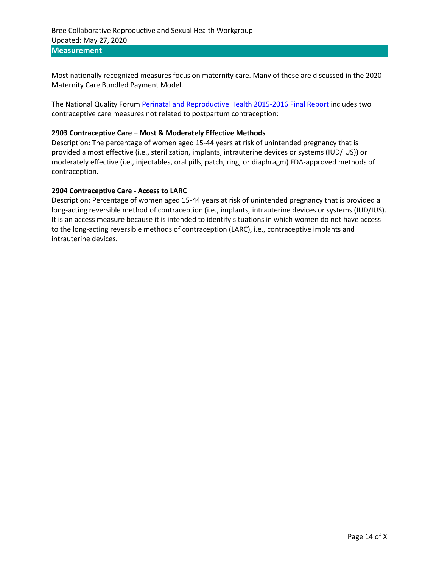**Measurement** 

Most nationally recognized measures focus on maternity care. Many of these are discussed in the 2020 Maternity Care Bundled Payment Model.

The National Quality Forum [Perinatal and Reproductive Health 2015-2016 Final Report](http://www.qualityforum.org/Publications/2016/12/Perinatal_and_Reproductive_Health_2015-2016_Final_Report.aspx) includes two contraceptive care measures not related to postpartum contraception:

#### **2903 Contraceptive Care – Most & Moderately Effective Methods**

Description: The percentage of women aged 15-44 years at risk of unintended pregnancy that is provided a most effective (i.e., sterilization, implants, intrauterine devices or systems (IUD/IUS)) or moderately effective (i.e., injectables, oral pills, patch, ring, or diaphragm) FDA-approved methods of contraception.

#### **2904 Contraceptive Care - Access to LARC**

Description: Percentage of women aged 15-44 years at risk of unintended pregnancy that is provided a long-acting reversible method of contraception (i.e., implants, intrauterine devices or systems (IUD/IUS). It is an access measure because it is intended to identify situations in which women do not have access to the long-acting reversible methods of contraception (LARC), i.e., contraceptive implants and intrauterine devices.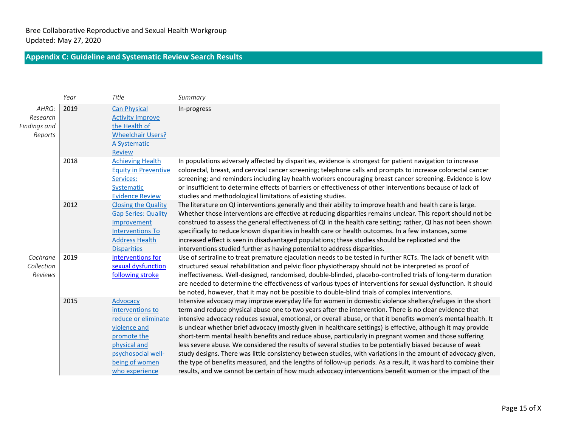# **Appendix C: Guideline and Systematic Review Search Results**

|                                              | Year | Title                                                                                                                                                        | Summary                                                                                                                                                                                                                                                                                                                                                                                                                                                                                                                                                                                                                                                                                                                                                                                                                                                                                                                                                                                                                    |
|----------------------------------------------|------|--------------------------------------------------------------------------------------------------------------------------------------------------------------|----------------------------------------------------------------------------------------------------------------------------------------------------------------------------------------------------------------------------------------------------------------------------------------------------------------------------------------------------------------------------------------------------------------------------------------------------------------------------------------------------------------------------------------------------------------------------------------------------------------------------------------------------------------------------------------------------------------------------------------------------------------------------------------------------------------------------------------------------------------------------------------------------------------------------------------------------------------------------------------------------------------------------|
| AHRQ:<br>Research<br>Findings and<br>Reports | 2019 | <b>Can Physical</b><br><b>Activity Improve</b><br>the Health of<br><b>Wheelchair Users?</b><br>A Systematic<br><b>Review</b>                                 | In-progress                                                                                                                                                                                                                                                                                                                                                                                                                                                                                                                                                                                                                                                                                                                                                                                                                                                                                                                                                                                                                |
|                                              | 2018 | <b>Achieving Health</b><br><b>Equity in Preventive</b><br>Services:<br>Systematic<br><b>Evidence Review</b>                                                  | In populations adversely affected by disparities, evidence is strongest for patient navigation to increase<br>colorectal, breast, and cervical cancer screening; telephone calls and prompts to increase colorectal cancer<br>screening; and reminders including lay health workers encouraging breast cancer screening. Evidence is low<br>or insufficient to determine effects of barriers or effectiveness of other interventions because of lack of<br>studies and methodological limitations of existing studies.                                                                                                                                                                                                                                                                                                                                                                                                                                                                                                     |
|                                              | 2012 | <b>Closing the Quality</b><br><b>Gap Series: Quality</b><br>Improvement<br><b>Interventions To</b><br><b>Address Health</b><br><b>Disparities</b>            | The literature on QI interventions generally and their ability to improve health and health care is large.<br>Whether those interventions are effective at reducing disparities remains unclear. This report should not be<br>construed to assess the general effectiveness of QI in the health care setting; rather, QI has not been shown<br>specifically to reduce known disparities in health care or health outcomes. In a few instances, some<br>increased effect is seen in disadvantaged populations; these studies should be replicated and the<br>interventions studied further as having potential to address disparities.                                                                                                                                                                                                                                                                                                                                                                                      |
| Cochrane<br>Collection<br>Reviews            | 2019 | <b>Interventions for</b><br>sexual dysfunction<br>following stroke                                                                                           | Use of sertraline to treat premature ejaculation needs to be tested in further RCTs. The lack of benefit with<br>structured sexual rehabilitation and pelvic floor physiotherapy should not be interpreted as proof of<br>ineffectiveness. Well-designed, randomised, double-blinded, placebo-controlled trials of long-term duration<br>are needed to determine the effectiveness of various types of interventions for sexual dysfunction. It should<br>be noted, however, that it may not be possible to double-blind trials of complex interventions.                                                                                                                                                                                                                                                                                                                                                                                                                                                                  |
|                                              | 2015 | Advocacy<br>interventions to<br>reduce or eliminate<br>violence and<br>promote the<br>physical and<br>psychosocial well-<br>being of women<br>who experience | Intensive advocacy may improve everyday life for women in domestic violence shelters/refuges in the short<br>term and reduce physical abuse one to two years after the intervention. There is no clear evidence that<br>intensive advocacy reduces sexual, emotional, or overall abuse, or that it benefits women's mental health. It<br>is unclear whether brief advocacy (mostly given in healthcare settings) is effective, although it may provide<br>short-term mental health benefits and reduce abuse, particularly in pregnant women and those suffering<br>less severe abuse. We considered the results of several studies to be potentially biased because of weak<br>study designs. There was little consistency between studies, with variations in the amount of advocacy given,<br>the type of benefits measured, and the lengths of follow-up periods. As a result, it was hard to combine their<br>results, and we cannot be certain of how much advocacy interventions benefit women or the impact of the |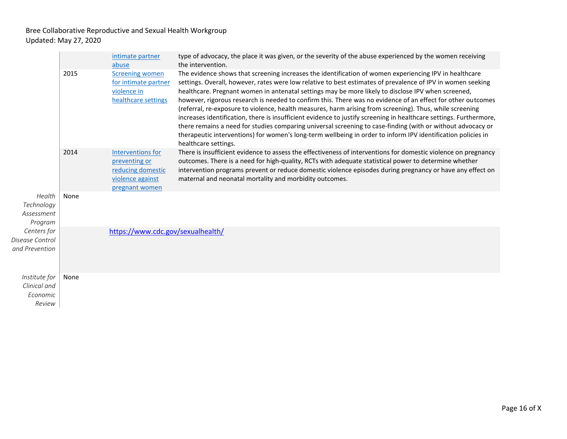| Health<br>Technology<br>Assessment<br>Program<br>Centers for<br>Disease Control<br>and Prevention |      | intimate partner<br>abuse                                                                     | type of advocacy, the place it was given, or the severity of the abuse experienced by the women receiving<br>the intervention.                                                                                                                                                                                                                                                                                                                                                                                                                                                                                                                                                                                                                                                                                                                                                                                                      |
|---------------------------------------------------------------------------------------------------|------|-----------------------------------------------------------------------------------------------|-------------------------------------------------------------------------------------------------------------------------------------------------------------------------------------------------------------------------------------------------------------------------------------------------------------------------------------------------------------------------------------------------------------------------------------------------------------------------------------------------------------------------------------------------------------------------------------------------------------------------------------------------------------------------------------------------------------------------------------------------------------------------------------------------------------------------------------------------------------------------------------------------------------------------------------|
|                                                                                                   | 2015 | <b>Screening women</b><br>for intimate partner<br>violence in<br>healthcare settings          | The evidence shows that screening increases the identification of women experiencing IPV in healthcare<br>settings. Overall, however, rates were low relative to best estimates of prevalence of IPV in women seeking<br>healthcare. Pregnant women in antenatal settings may be more likely to disclose IPV when screened,<br>however, rigorous research is needed to confirm this. There was no evidence of an effect for other outcomes<br>(referral, re-exposure to violence, health measures, harm arising from screening). Thus, while screening<br>increases identification, there is insufficient evidence to justify screening in healthcare settings. Furthermore,<br>there remains a need for studies comparing universal screening to case-finding (with or without advocacy or<br>therapeutic interventions) for women's long-term wellbeing in order to inform IPV identification policies in<br>healthcare settings. |
|                                                                                                   | 2014 | Interventions for<br>preventing or<br>reducing domestic<br>violence against<br>pregnant women | There is insufficient evidence to assess the effectiveness of interventions for domestic violence on pregnancy<br>outcomes. There is a need for high-quality, RCTs with adequate statistical power to determine whether<br>intervention programs prevent or reduce domestic violence episodes during pregnancy or have any effect on<br>maternal and neonatal mortality and morbidity outcomes.                                                                                                                                                                                                                                                                                                                                                                                                                                                                                                                                     |
|                                                                                                   | None |                                                                                               |                                                                                                                                                                                                                                                                                                                                                                                                                                                                                                                                                                                                                                                                                                                                                                                                                                                                                                                                     |
|                                                                                                   |      | https://www.cdc.gov/sexualhealth/                                                             |                                                                                                                                                                                                                                                                                                                                                                                                                                                                                                                                                                                                                                                                                                                                                                                                                                                                                                                                     |
| Institute for<br>Clinical and<br>Economic<br>Review                                               | None |                                                                                               |                                                                                                                                                                                                                                                                                                                                                                                                                                                                                                                                                                                                                                                                                                                                                                                                                                                                                                                                     |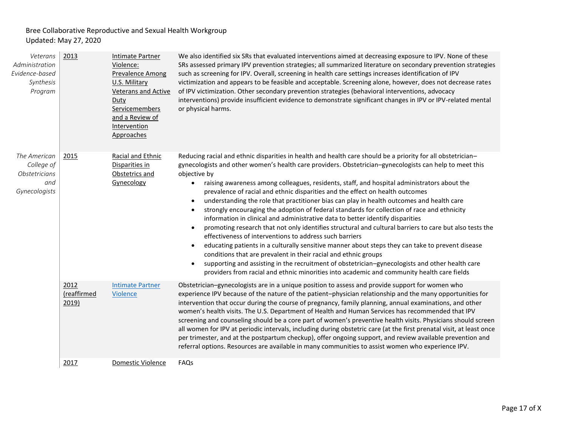| Veterans<br>Administration<br>Evidence-based<br>Synthesis<br>Program | 2013                         | <b>Intimate Partner</b><br>Violence:<br><b>Prevalence Among</b><br>U.S. Military<br><b>Veterans and Active</b><br>Duty<br>Servicemembers<br>and a Review of<br>Intervention<br>Approaches | We also identified six SRs that evaluated interventions aimed at decreasing exposure to IPV. None of these<br>SRs assessed primary IPV prevention strategies; all summarized literature on secondary prevention strategies<br>such as screening for IPV. Overall, screening in health care settings increases identification of IPV<br>victimization and appears to be feasible and acceptable. Screening alone, however, does not decrease rates<br>of IPV victimization. Other secondary prevention strategies (behavioral interventions, advocacy<br>interventions) provide insufficient evidence to demonstrate significant changes in IPV or IPV-related mental<br>or physical harms.                                                                                                                                                                                                                                                                                                                                                                                                                                                                                                                                                                                   |
|----------------------------------------------------------------------|------------------------------|-------------------------------------------------------------------------------------------------------------------------------------------------------------------------------------------|------------------------------------------------------------------------------------------------------------------------------------------------------------------------------------------------------------------------------------------------------------------------------------------------------------------------------------------------------------------------------------------------------------------------------------------------------------------------------------------------------------------------------------------------------------------------------------------------------------------------------------------------------------------------------------------------------------------------------------------------------------------------------------------------------------------------------------------------------------------------------------------------------------------------------------------------------------------------------------------------------------------------------------------------------------------------------------------------------------------------------------------------------------------------------------------------------------------------------------------------------------------------------|
| The American<br>College of<br>Obstetricians<br>and<br>Gynecologists  | 2015                         | Racial and Ethnic<br>Disparities in<br>Obstetrics and<br>Gynecology                                                                                                                       | Reducing racial and ethnic disparities in health and health care should be a priority for all obstetrician-<br>gynecologists and other women's health care providers. Obstetrician-gynecologists can help to meet this<br>objective by<br>raising awareness among colleagues, residents, staff, and hospital administrators about the<br>prevalence of racial and ethnic disparities and the effect on health outcomes<br>understanding the role that practitioner bias can play in health outcomes and health care<br>$\bullet$<br>strongly encouraging the adoption of federal standards for collection of race and ethnicity<br>information in clinical and administrative data to better identify disparities<br>promoting research that not only identifies structural and cultural barriers to care but also tests the<br>$\bullet$<br>effectiveness of interventions to address such barriers<br>educating patients in a culturally sensitive manner about steps they can take to prevent disease<br>conditions that are prevalent in their racial and ethnic groups<br>supporting and assisting in the recruitment of obstetrician-gynecologists and other health care<br>providers from racial and ethnic minorities into academic and community health care fields |
|                                                                      | 2012<br>(reaffirmed<br>2019) | <b>Intimate Partner</b><br>Violence                                                                                                                                                       | Obstetrician-gynecologists are in a unique position to assess and provide support for women who<br>experience IPV because of the nature of the patient-physician relationship and the many opportunities for<br>intervention that occur during the course of pregnancy, family planning, annual examinations, and other<br>women's health visits. The U.S. Department of Health and Human Services has recommended that IPV<br>screening and counseling should be a core part of women's preventive health visits. Physicians should screen<br>all women for IPV at periodic intervals, including during obstetric care (at the first prenatal visit, at least once<br>per trimester, and at the postpartum checkup), offer ongoing support, and review available prevention and<br>referral options. Resources are available in many communities to assist women who experience IPV.                                                                                                                                                                                                                                                                                                                                                                                        |
|                                                                      | 2017                         | Domestic Violence                                                                                                                                                                         | FAQs                                                                                                                                                                                                                                                                                                                                                                                                                                                                                                                                                                                                                                                                                                                                                                                                                                                                                                                                                                                                                                                                                                                                                                                                                                                                         |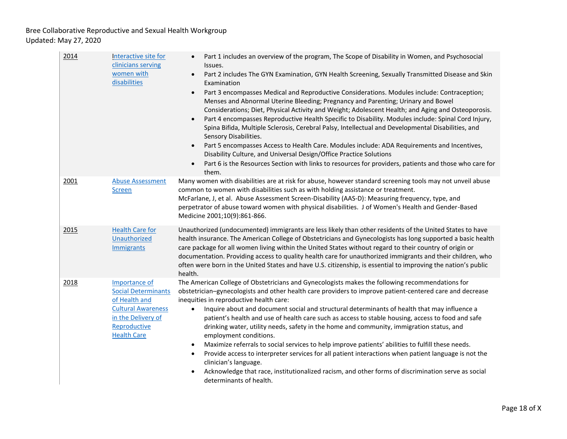| 2014 | Interactive site for<br>clinicians serving<br>women with<br>disabilities                                                                              | Part 1 includes an overview of the program, The Scope of Disability in Women, and Psychosocial<br>Issues.<br>Part 2 includes The GYN Examination, GYN Health Screening, Sexually Transmitted Disease and Skin<br>$\bullet$<br>Examination<br>Part 3 encompasses Medical and Reproductive Considerations. Modules include: Contraception;<br>$\bullet$<br>Menses and Abnormal Uterine Bleeding; Pregnancy and Parenting; Urinary and Bowel<br>Considerations; Diet, Physical Activity and Weight; Adolescent Health; and Aging and Osteoporosis.<br>Part 4 encompasses Reproductive Health Specific to Disability. Modules include: Spinal Cord Injury,<br>Spina Bifida, Multiple Sclerosis, Cerebral Palsy, Intellectual and Developmental Disabilities, and<br>Sensory Disabilities.<br>Part 5 encompasses Access to Health Care. Modules include: ADA Requirements and Incentives,<br>Disability Culture, and Universal Design/Office Practice Solutions<br>Part 6 is the Resources Section with links to resources for providers, patients and those who care for<br>$\bullet$<br>them. |
|------|-------------------------------------------------------------------------------------------------------------------------------------------------------|--------------------------------------------------------------------------------------------------------------------------------------------------------------------------------------------------------------------------------------------------------------------------------------------------------------------------------------------------------------------------------------------------------------------------------------------------------------------------------------------------------------------------------------------------------------------------------------------------------------------------------------------------------------------------------------------------------------------------------------------------------------------------------------------------------------------------------------------------------------------------------------------------------------------------------------------------------------------------------------------------------------------------------------------------------------------------------------------|
| 2001 | <b>Abuse Assessment</b><br><b>Screen</b>                                                                                                              | Many women with disabilities are at risk for abuse, however standard screening tools may not unveil abuse<br>common to women with disabilities such as with holding assistance or treatment.<br>McFarlane, J, et al. Abuse Assessment Screen-Disability (AAS-D): Measuring frequency, type, and<br>perpetrator of abuse toward women with physical disabilities. J of Women's Health and Gender-Based<br>Medicine 2001;10(9):861-866.                                                                                                                                                                                                                                                                                                                                                                                                                                                                                                                                                                                                                                                      |
| 2015 | <b>Health Care for</b><br>Unauthorized<br>Immigrants                                                                                                  | Unauthorized (undocumented) immigrants are less likely than other residents of the United States to have<br>health insurance. The American College of Obstetricians and Gynecologists has long supported a basic health<br>care package for all women living within the United States without regard to their country of origin or<br>documentation. Providing access to quality health care for unauthorized immigrants and their children, who<br>often were born in the United States and have U.S. citizenship, is essential to improving the nation's public<br>health.                                                                                                                                                                                                                                                                                                                                                                                                                                                                                                               |
| 2018 | Importance of<br><b>Social Determinants</b><br>of Health and<br><b>Cultural Awareness</b><br>in the Delivery of<br>Reproductive<br><b>Health Care</b> | The American College of Obstetricians and Gynecologists makes the following recommendations for<br>obstetrician-gynecologists and other health care providers to improve patient-centered care and decrease<br>inequities in reproductive health care:<br>Inquire about and document social and structural determinants of health that may influence a<br>$\bullet$<br>patient's health and use of health care such as access to stable housing, access to food and safe<br>drinking water, utility needs, safety in the home and community, immigration status, and<br>employment conditions.<br>Maximize referrals to social services to help improve patients' abilities to fulfill these needs.<br>$\bullet$<br>Provide access to interpreter services for all patient interactions when patient language is not the<br>$\bullet$<br>clinician's language.<br>Acknowledge that race, institutionalized racism, and other forms of discrimination serve as social<br>determinants of health.                                                                                            |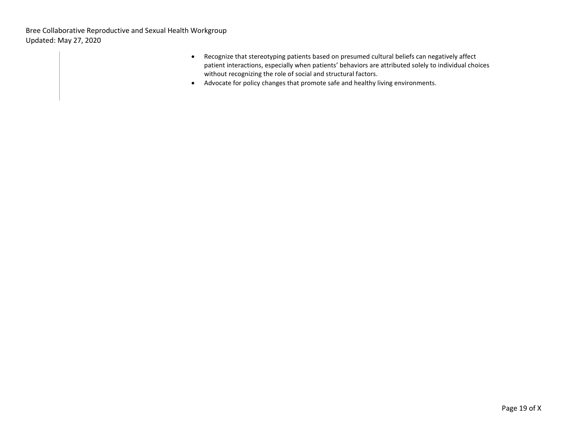- Recognize that stereotyping patients based on presumed cultural beliefs can negatively affect patient interactions, especially when patients' behaviors are attributed solely to individual choices without recognizing the role of social and structural factors.
- Advocate for policy changes that promote safe and healthy living environments.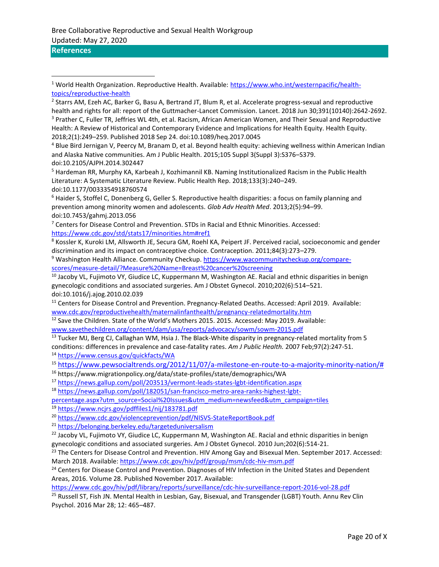# **References**

<sup>4</sup> Blue Bird Jernigan V, Peercy M, Branam D, et al. Beyond health equity: achieving wellness within American Indian and Alaska Native communities. Am J Public Health. 2015;105 Suppl 3(Suppl 3):S376–S379. doi:10.2105/AJPH.2014.302447

<sup>5</sup> Hardeman RR, Murphy KA, Karbeah J, Kozhimannil KB. Naming Institutionalized Racism in the Public Health Literature: A Systematic Literature Review. Public Health Rep. 2018;133(3):240–249. doi:10.1177/0033354918760574

<sup>6</sup> Haider S, Stoffel C, Donenberg G, Geller S. Reproductive health disparities: a focus on family planning and prevention among minority women and adolescents. *Glob Adv Health Med*. 2013;2(5):94–99. doi:10.7453/gahmj.2013.056

 $7$  Centers for Disease Control and Prevention. STDs in Racial and Ethnic Minorities. Accessed: <https://www.cdc.gov/std/stats17/minorities.htm#ref1>

<sup>8</sup> Kossler K, Kuroki LM, Allsworth JE, Secura GM, Roehl KA, Peipert JF. Perceived racial, socioeconomic and gender discrimination and its impact on contraceptive choice. Contraception. 2011;84(3):273–279.

<sup>9</sup> Washington Health Alliance. Community Checkup. [https://www.wacommunitycheckup.org/compare](https://www.wacommunitycheckup.org/compare-scores/measure-detail/?Measure%20Name=Breast%20cancer%20screening)[scores/measure-detail/?Measure%20Name=Breast%20cancer%20screening](https://www.wacommunitycheckup.org/compare-scores/measure-detail/?Measure%20Name=Breast%20cancer%20screening)

<sup>10</sup> Jacoby VL, Fujimoto VY, Giudice LC, Kuppermann M, Washington AE. Racial and ethnic disparities in benign gynecologic conditions and associated surgeries. Am J Obstet Gynecol. 2010;202(6):514–521. doi:10.1016/j.ajog.2010.02.039

<sup>11</sup> Centers for Disease Control and Prevention. Pregnancy-Related Deaths. Accessed: April 2019. Available: [www.cdc.gov/reproductivehealth/maternalinfanthealth/pregnancy-relatedmortality.htm](http://www.cdc.gov/reproductivehealth/maternalinfanthealth/pregnancy-relatedmortality.htm)

<sup>12</sup> Save the Children. State of the World's Mothers 2015. 2015. Accessed: May 2019. Available:

[www.savethechildren.org/content/dam/usa/reports/advocacy/sowm/sowm-2015.pdf](http://www.savethechildren.org/content/dam/usa/reports/advocacy/sowm/sowm-2015.pdf)

<sup>13</sup> Tucker MJ, Berg CJ, Callaghan WM, Hsia J. The Black-White disparity in pregnancy-related mortality from 5 conditions: differences in prevalence and case-fatality rates. *Am J Public Health.* 2007 Feb;97(2):247-51. <sup>14</sup> <https://www.census.gov/quickfacts/WA>

<sup>15</sup> [https://www.pewsocialtrends.org/2012/11/07/a-milestone-en-route-to-a-majority-minority-nation/#](https://www.pewsocialtrends.org/2012/11/07/a-milestone-en-route-to-a-majority-minority-nation/)

<sup>16</sup> https://www.migrationpolicy.org/data/state-profiles/state/demographics/WA

<sup>17</sup> <https://news.gallup.com/poll/203513/vermont-leads-states-lgbt-identification.aspx>

<sup>18</sup> [https://news.gallup.com/poll/182051/san-francisco-metro-area-ranks-highest-lgbt-](https://news.gallup.com/poll/182051/san-francisco-metro-area-ranks-highest-lgbt-percentage.aspx?utm_source=Social%20Issues&utm_medium=newsfeed&utm_campaign=tiles)

[percentage.aspx?utm\\_source=Social%20Issues&utm\\_medium=newsfeed&utm\\_campaign=tiles](https://news.gallup.com/poll/182051/san-francisco-metro-area-ranks-highest-lgbt-percentage.aspx?utm_source=Social%20Issues&utm_medium=newsfeed&utm_campaign=tiles)

<sup>19</sup> <https://www.ncjrs.gov/pdffiles1/nij/183781.pdf>

<sup>20</sup> <https://www.cdc.gov/violenceprevention/pdf/NISVS-StateReportBook.pdf>

<sup>21</sup> <https://belonging.berkeley.edu/targeteduniversalism>

<sup>22</sup> Jacoby VL, Fujimoto VY, Giudice LC, Kuppermann M, Washington AE. Racial and ethnic disparities in benign gynecologic conditions and associated surgeries. Am J Obstet Gynecol. 2010 Jun;202(6):514-21.

<sup>23</sup> The Centers for Disease Control and Prevention. HIV Among Gay and Bisexual Men. September 2017. Accessed: March 2018. Available[: https://www.cdc.gov/hiv/pdf/group/msm/cdc-hiv-msm.pdf](https://www.cdc.gov/hiv/pdf/group/msm/cdc-hiv-msm.pdf)

<sup>24</sup> Centers for Disease Control and Prevention. Diagnoses of HIV Infection in the United States and Dependent Areas, 2016. Volume 28. Published November 2017. Available:

<https://www.cdc.gov/hiv/pdf/library/reports/surveillance/cdc-hiv-surveillance-report-2016-vol-28.pdf>

<sup>25</sup> Russell ST, Fish JN. Mental Health in Lesbian, Gay, Bisexual, and Transgender (LGBT) Youth. Annu Rev Clin Psychol. 2016 Mar 28; 12: 465–487.

<sup>1</sup> World Health Organization. Reproductive Health. Available: [https://www.who.int/westernpacific/health](https://www.who.int/westernpacific/health-topics/reproductive-health)[topics/reproductive-health](https://www.who.int/westernpacific/health-topics/reproductive-health)

<sup>&</sup>lt;sup>2</sup> Starrs AM, Ezeh AC, Barker G, Basu A, Bertrand JT, Blum R, et al. Accelerate progress-sexual and reproductive health and rights for all: report of the Guttmacher-Lancet Commission. Lancet. 2018 Jun 30;391(10140):2642-2692. <sup>3</sup> Prather C, Fuller TR, Jeffries WL 4th, et al. Racism, African American Women, and Their Sexual and Reproductive Health: A Review of Historical and Contemporary Evidence and Implications for Health Equity. Health Equity. 2018;2(1):249–259. Published 2018 Sep 24. doi:10.1089/heq.2017.0045